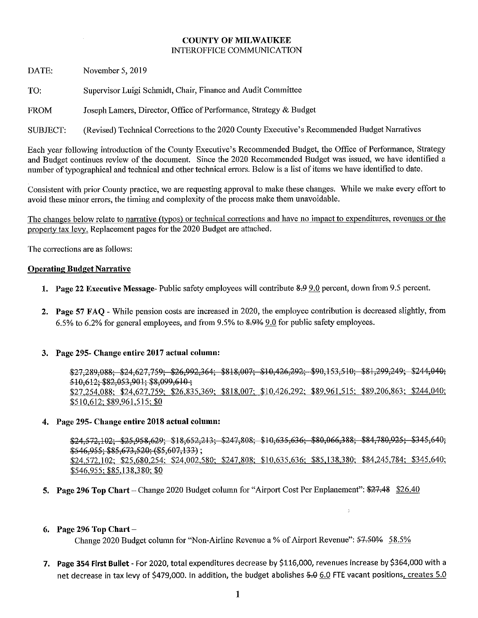#### **COUNTY OF MILWAUKEE INTEROFFICE COMMUNICATION**

DATE: November 5, 2019

Supervisor Luigi Schmidt, Chair, Finance and Audit Committee TO:

Joseph Lamers, Director, Office of Performance, Strategy & Budget **FROM** 

(Revised) Technical Corrections to the 2020 County Executive's Recommended Budget Narratives SUBJECT:

Each year following introduction of the County Executive's Recommended Budget, the Office of Performance, Strategy and Budget continues review of the document. Since the 2020 Recommended Budget was issued, we have identified a number of typographical and technical and other technical errors. Below is a list of items we have identified to date.

Consistent with prior County practice, we are requesting approval to make these changes. While we make every effort to avoid these minor errors, the timing and complexity of the process make them unavoidable.

The changes below relate to narrative (typos) or technical corrections and have no impact to expenditures, revenues or the property tax levy. Replacement pages for the 2020 Budget are attached.

The corrections are as follows:

#### **Operating Budget Narrative**

- 1. Page 22 Executive Message-Public safety employees will contribute 8-9 9.0 percent, down from 9.5 percent.
- 2. Page 57 FAO While pension costs are increased in 2020, the employee contribution is decreased slightly, from 6.5% to 6.2% for general employees, and from 9.5% to 8.9% 9.0 for public safety employees.

#### 3. Page 295- Change entire 2017 actual column:

\$27,289,088; \$24,627,759; \$26,992,364; \$818,007; \$10,426,292; \$90,153,510; \$81,299,249; \$244,040; 510.612: \$82,053,901; \$8,099,610; \$27,254,088; \$24,627,759; \$26,835,369; \$818,007; \$10,426,292; \$89,961,515; \$89,206,863; \$244,040; \$510,612; \$89,961,515; \$0

#### 4. Page 295- Change entire 2018 actual column:

 $$24,572,102;$   $$25,958,629;$   $$18,652,213;$   $$247,808;$   $$10,635,636;$   $$80,066,388;$   $$84,780,925;$   $$345,640;$  $$546,955; $85,673,520; ($55,607,133);$ \$24,572,102; \$25,680,254; \$24,002,580; \$247,808; \$10,635,636; \$85,138,380; \$84,245,784; \$345,640; \$546,955; \$85,138,380; \$0

l.

5. Page 296 Top Chart - Change 2020 Budget column for "Airport Cost Per Enplanement": \$27.48 \$26.40

#### 6. Page 296 Top Chart  $-$

Change 2020 Budget column for "Non-Airline Revenue a % of Airport Revenue": 57.50% 58.5%

7. Page 354 First Bullet - For 2020, total expenditures decrease by \$116,000, revenues increase by \$364,000 with a net decrease in tax levy of \$479,000. In addition, the budget abolishes 5.0 6.0 FTE vacant positions, creates 5.0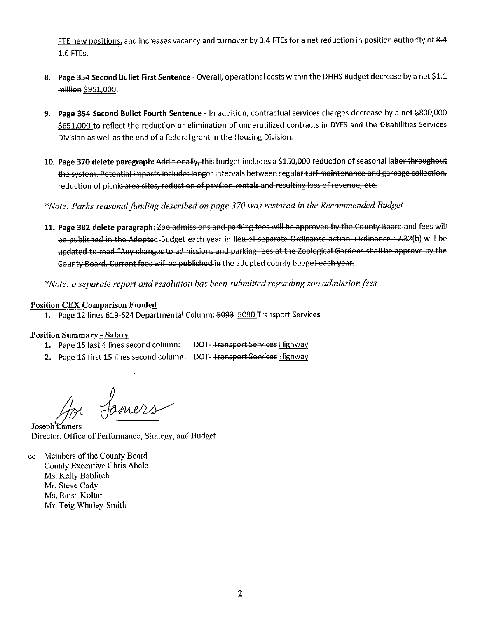FTE new positions, and increases vacancy and turnover by 3.4 FTEs for a net reduction in position authority of 8.4 1.6 FTEs.

- 8. Page 354 Second Bullet First Sentence Overall, operational costs within the DHHS Budget decrease by a net \$1.1 million \$951,000.
- 9. Page 354 Second Bullet Fourth Sentence In addition, contractual services charges decrease by a net \$800,000 \$651,000 to reflect the reduction or elimination of underutilized contracts in DYFS and the Disabilities Services Division as well as the end of a federal grant in the Housing Division.
- 10. Page 370 delete paragraph: Additionally, this budget includes a \$150,000 reduction of seasonal labor throughout the system. Potential impacts include: longer intervals between regular turf maintenance and garbage collection, reduction of picnic area sites, reduction of pavilion rentals and resulting loss of revenue, etc.

\*Note: Parks seasonal funding described on page 370 was restored in the Recommended Budget

11. Page 382 delete paragraph: Zoo admissions and parking fees will be approved by the County Board and fees will be published in the Adopted Budget each year in lieu of separate Ordinance action. Ordinance 47.32(b) will be updated to read "Any changes to admissions and parking fees at the Zoological Gardens shall be approve by the County Board, Current fees will be published in the adopted county budget each year.

\*Note: a separate report and resolution has been submitted regarding zoo admission fees

#### **Position CEX Comparison Funded**

1. Page 12 lines 619-624 Departmental Column: 5093 5090 Transport Services

#### **Position Summary - Salary**

- 1. Page 15 last 4 lines second column: DOT- Transport Services Highway
- 2. Page 16 first 15 lines second column: DOT- Transport Services Highway

Samers

Joseph *Lamers* Director, Office of Performance, Strategy, and Budget

cc Members of the County Board County Executive Chris Abele Ms. Kelly Bablitch Mr. Steve Cady Ms. Raisa Koltun Mr. Teig Whaley-Smith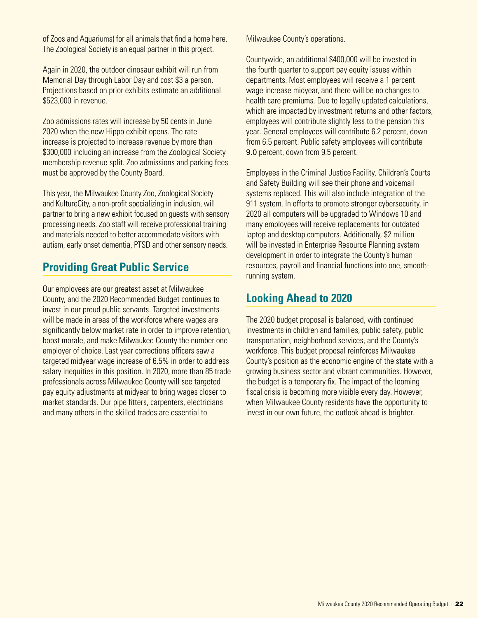of Zoos and Aquariums) for all animals that find a home here. The Zoological Society is an equal partner in this project.

Again in 2020, the outdoor dinosaur exhibit will run from Memorial Day through Labor Day and cost \$3 a person. Projections based on prior exhibits estimate an additional \$523,000 in revenue.

Zoo admissions rates will increase by 50 cents in June 2020 when the new Hippo exhibit opens. The rate increase is projected to increase revenue by more than \$300,000 including an increase from the Zoological Society membership revenue split. Zoo admissions and parking fees must be approved by the County Board.

This year, the Milwaukee County Zoo, Zoological Society and KultureCity, a non-profit specializing in inclusion, will partner to bring a new exhibit focused on guests with sensory processing needs. Zoo staff will receive professional training and materials needed to better accommodate visitors with autism, early onset dementia, PTSD and other sensory needs.

## **Providing Great Public Service**

Our employees are our greatest asset at Milwaukee County, and the 2020 Recommended Budget continues to invest in our proud public servants. Targeted investments will be made in areas of the workforce where wages are significantly below market rate in order to improve retention, boost morale, and make Milwaukee County the number one employer of choice. Last year corrections officers saw a targeted midyear wage increase of 6.5% in order to address salary inequities in this position. In 2020, more than 85 trade professionals across Milwaukee County will see targeted pay equity adjustments at midyear to bring wages closer to market standards. Our pipe fitters, carpenters, electricians and many others in the skilled trades are essential to

Milwaukee County's operations.

Countywide, an additional \$400,000 will be invested in the fourth quarter to support pay equity issues within departments. Most employees will receive a 1 percent wage increase midyear, and there will be no changes to health care premiums. Due to legally updated calculations, which are impacted by investment returns and other factors, employees will contribute slightly less to the pension this year. General employees will contribute 6.2 percent, down from 6.5 percent. Public safety employees will contribute 9.0 percent, down from 9.5 percent.

Employees in the Criminal Justice Facility, Children's Courts and Safety Building will see their phone and voicemail systems replaced. This will also include integration of the 911 system. In efforts to promote stronger cybersecurity, in 2020 all computers will be upgraded to Windows 10 and many employees will receive replacements for outdated laptop and desktop computers. Additionally, \$2 million will be invested in Enterprise Resource Planning system development in order to integrate the County's human resources, payroll and financial functions into one, smoothrunning system.

## **Looking Ahead to 2020**

The 2020 budget proposal is balanced, with continued investments in children and families, public safety, public transportation, neighborhood services, and the County's workforce. This budget proposal reinforces Milwaukee County's position as the economic engine of the state with a growing business sector and vibrant communities. However, the budget is a temporary fix. The impact of the looming fiscal crisis is becoming more visible every day. However, when Milwaukee County residents have the opportunity to invest in our own future, the outlook ahead is brighter.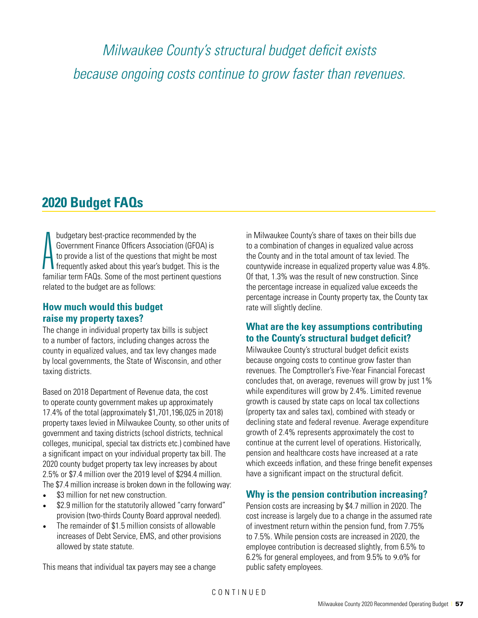*Milwaukee County's structural budget deficit exists because ongoing costs continue to grow faster than revenues.*

## **2020 Budget FAQs**

 $\mathop{\text{A}}_{\text{A}}$ budgetary best-practice recommended by the Government Finance Officers Association (GFOA) is to provide a list of the questions that might be most frequently asked about this year's budget. This is the familiar term FAQs. Some of the most pertinent questions related to the budget are as follows:

### **How much would this budget raise my property taxes?**

The change in individual property tax bills is subject to a number of factors, including changes across the county in equalized values, and tax levy changes made by local governments, the State of Wisconsin, and other taxing districts.

Based on 2018 Department of Revenue data, the cost to operate county government makes up approximately 17.4% of the total (approximately \$1,701,196,025 in 2018) property taxes levied in Milwaukee County, so other units of government and taxing districts (school districts, technical colleges, municipal, special tax districts etc.) combined have a significant impact on your individual property tax bill. The 2020 county budget property tax levy increases by about 2.5% or \$7.4 million over the 2019 level of \$294.4 million. The \$7.4 million increase is broken down in the following way:

- \$3 million for net new construction.
- \$2.9 million for the statutorily allowed "carry forward" provision (two-thirds County Board approval needed).
- The remainder of \$1.5 million consists of allowable increases of Debt Service, EMS, and other provisions allowed by state statute.

This means that individual tax payers may see a change

in Milwaukee County's share of taxes on their bills due to a combination of changes in equalized value across the County and in the total amount of tax levied. The countywide increase in equalized property value was 4.8%. Of that, 1.3% was the result of new construction. Since the percentage increase in equalized value exceeds the percentage increase in County property tax, the County tax rate will slightly decline.

### **What are the key assumptions contributing to the County's structural budget deficit?**

Milwaukee County's structural budget deficit exists because ongoing costs to continue grow faster than revenues. The Comptroller's Five-Year Financial Forecast concludes that, on average, revenues will grow by just 1% while expenditures will grow by 2.4%. Limited revenue growth is caused by state caps on local tax collections (property tax and sales tax), combined with steady or declining state and federal revenue. Average expenditure growth of 2.4% represents approximately the cost to continue at the current level of operations. Historically, pension and healthcare costs have increased at a rate which exceeds inflation, and these fringe benefit expenses have a significant impact on the structural deficit.

## **Why is the pension contribution increasing?**

Pension costs are increasing by \$4.7 million in 2020. The cost increase is largely due to a change in the assumed rate of investment return within the pension fund, from 7.75% to 7.5%. While pension costs are increased in 2020, the employee contribution is decreased slightly, from 6.5% to 6.2% for general employees, and from 9.5% to 9.0% for public safety employees.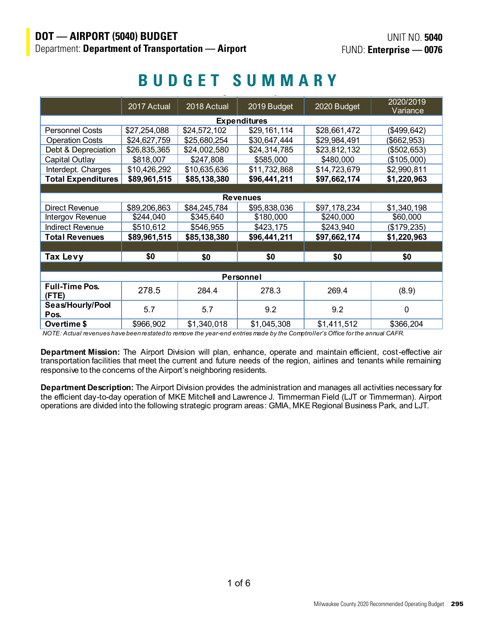#### FUND: Enterprise – 0076 **Budget Summary BUDGET SUMMARY**

|                           | 2017 Actual                  | 2018 Actual  | 2019 Budget                  | 2020 Budget  | 2020/2019    |  |  |  |  |  |
|---------------------------|------------------------------|--------------|------------------------------|--------------|--------------|--|--|--|--|--|
|                           |                              |              |                              |              | Variance     |  |  |  |  |  |
| <b>Expenditures</b>       |                              |              |                              |              |              |  |  |  |  |  |
| <b>Personnel Costs</b>    | \$27,254,088                 | \$24,572,102 | \$29,161,114                 | \$28,661,472 | (\$499, 642) |  |  |  |  |  |
| <b>Operation Costs</b>    | \$24,627,759                 | \$25,680,254 | \$30,647,444                 | \$29,984,491 | (\$662,953)  |  |  |  |  |  |
| Debt & Depreciation       | \$26,835,365                 | \$24,002,580 | \$24,314,785                 | \$23,812,132 | (\$502, 653) |  |  |  |  |  |
| Capital Outlay            | \$818,007                    | \$247,808    | \$585,000                    | \$480,000    | (\$105,000)  |  |  |  |  |  |
| Interdept. Charges        | \$10,426,292                 | \$10,635,636 | \$11,732,868                 | \$14,723,679 | \$2,990,811  |  |  |  |  |  |
| <b>Total Expenditures</b> | \$89,961,515                 | \$85,138,380 | \$96,441,211                 | \$97,662,174 | \$1,220,963  |  |  |  |  |  |
|                           |                              |              |                              |              |              |  |  |  |  |  |
|                           |                              |              | <b>Revenues</b>              |              |              |  |  |  |  |  |
| Direct Revenue            | \$89,206,863                 | \$84,245,784 | \$95,838,036<br>\$97,178,234 |              | \$1,340,198  |  |  |  |  |  |
| Intergov Revenue          | \$244,040                    | \$345,640    | \$180,000                    | \$240,000    | \$60,000     |  |  |  |  |  |
| <b>Indirect Revenue</b>   | \$510,612                    | \$546,955    | \$423,175                    | \$243,940    | (\$179,235)  |  |  |  |  |  |
| <b>Total Revenues</b>     | \$89,961,515<br>\$85,138,380 |              | \$96,441,211                 | \$97,662,174 | \$1,220,963  |  |  |  |  |  |
|                           |                              |              |                              |              |              |  |  |  |  |  |
| Tax Levy                  | \$0                          | \$0          | \$0                          | \$0          | \$0          |  |  |  |  |  |
|                           |                              |              |                              |              |              |  |  |  |  |  |
|                           |                              |              | Personnel                    |              |              |  |  |  |  |  |
| <b>Full-Time Pos.</b>     | 278.5                        |              | 278.3                        | 269.4        | (8.9)        |  |  |  |  |  |
| $($ FTE $)$               |                              | 284.4        |                              |              |              |  |  |  |  |  |
| Seas/Hourly/Pool<br>Pos.  | 5.7                          | 5.7          | 9.2                          | 9.2          | $\mathbf{0}$ |  |  |  |  |  |
| Overtime \$               | \$966,902                    | \$1,340,018  | \$1,045,308                  | \$1,411,512  | \$366,204    |  |  |  |  |  |

*NOTE: Actual revenues have been restated to remove the year-end entries made by the Comptroller's Office for the annual CAFR.*

**Department Mission:** The Airport Division will plan, enhance, operate and maintain efficient, cost-effective air transportation facilities that meet the current and future needs of the region, airlines and tenants while remaining responsive to the concerns of the Airport's neighboring residents.

**Department Description:** The Airport Division provides the administration and manages all activities necessary for the efficient day-to-day operation of MKE Mitchell and Lawrence J. Timmerman Field (LJT or Timmerman). Airport operations are divided into the following strategic program areas: GMIA, MKE Regional Business Park, and LJT.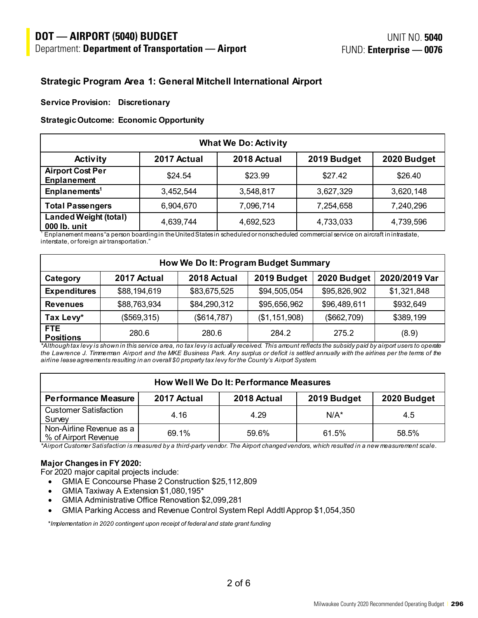#### $\overline{a}$ **DOT — AIRPORT (5040) BUDGET**

### **Strategic Program Area 1: General Mitchell International Airport**

#### **Service Provision: Discretionary**

#### **Strategic Outcome: Economic Opportunity**

| <b>What We Do: Activity</b>                                                 |           |           |           |           |  |  |  |  |  |  |
|-----------------------------------------------------------------------------|-----------|-----------|-----------|-----------|--|--|--|--|--|--|
| 2018 Actual<br>2019 Budget<br>2020 Budget<br>2017 Actual<br><b>Activity</b> |           |           |           |           |  |  |  |  |  |  |
| <b>Airport Cost Per</b><br><b>Enplanement</b>                               | \$24.54   | \$23.99   | \$27.42   | \$26.40   |  |  |  |  |  |  |
| Enplanements <sup>1</sup>                                                   | 3,452,544 | 3,548,817 | 3,627,329 | 3,620,148 |  |  |  |  |  |  |
| <b>Total Passengers</b>                                                     | 6,904,670 | 7,096,714 | 7,254,658 | 7,240,296 |  |  |  |  |  |  |
| <b>Landed Weight (total)</b><br>000 lb. unit                                | 4,639,744 | 4,692,523 | 4,733,033 | 4,739,596 |  |  |  |  |  |  |

 $^1$  Enplanement means "a person boarding in the United States in scheduled or nonscheduled commercial service on aircraft in intrastate, interstate, or foreign air transportation."

| How We Do It: Program Budget Summary                                                  |              |              |                 |              |             |  |  |  |  |  |
|---------------------------------------------------------------------------------------|--------------|--------------|-----------------|--------------|-------------|--|--|--|--|--|
| 2020/2019 Var<br>2019 Budget<br>2020 Budget<br>2018 Actual<br>2017 Actual<br>Category |              |              |                 |              |             |  |  |  |  |  |
| <b>Expenditures</b>                                                                   | \$88,194,619 | \$83,675,525 | \$94,505,054    | \$95,826,902 | \$1,321,848 |  |  |  |  |  |
| <b>Revenues</b>                                                                       | \$88,763,934 | \$84,290,312 | \$95,656,962    | \$96,489,611 | \$932,649   |  |  |  |  |  |
| Tax Levy*                                                                             | (\$569,315)  | (\$614,787)  | (\$1, 151, 908) | (\$662,709)  | \$389,199   |  |  |  |  |  |
| FTE.<br><b>Positions</b>                                                              | 280.6        | 280.6        | 284.2           | 275.2        | (8.9)       |  |  |  |  |  |

*\*Although tax levy is shown in this service area, no tax levy is actually received. This amount reflects the subsidy paid by airport users to operate the Lawrence J. Timmerman Airport and the MKE Business Park. Any surplus or deficit is settled annually with the airlines per the terms of the airline lease agreements resulting in an overall \$0 property tax levy for the County's Airport System.*

| <b>How Well We Do It: Performance Measures</b>   |             |             |             |             |  |  |  |  |
|--------------------------------------------------|-------------|-------------|-------------|-------------|--|--|--|--|
| <b>Performance Measure</b>                       | 2017 Actual | 2018 Actual | 2019 Budget | 2020 Budget |  |  |  |  |
| <b>Customer Satisfaction</b><br>Survey           | 4.16        | 4.29        | $N/A^*$     | 4.5         |  |  |  |  |
| Non-Airline Revenue as a<br>% of Airport Revenue | 69.1%       | 59.6%       | 61.5%       | 58.5%       |  |  |  |  |

*\*Airport Customer Satisfaction is measured by a third-party vendor. The Airport changed vendors, which resulted in a new measurement scale.*

#### **Major Changes in FY 2020:**

For 2020 major capital projects include:

- GMIA E Concourse Phase 2 Construction \$25,112,809
- GMIA Taxiway A Extension \$1,080,195\*
- GMIA Administrative Office Renovation \$2,099,281
- GMIA Parking Access and Revenue Control System Repl Addtl Approp \$1,054,350

\**Implementation in 2020 contingent upon receipt of federal and state grant funding*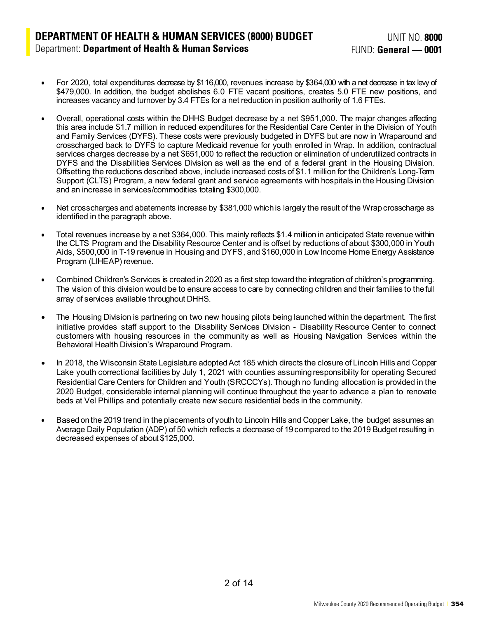- For 2020, total expenditures decrease by \$116,000, revenues increase by \$364,000 with a net decrease in tax levy of \$479,000. In addition, the budget abolishes 6.0 FTE vacant positions, creates 5.0 FTE new positions, and increases vacancy and turnover by 3.4 FTEs for a net reduction in position authority of 1.6 FTEs.
- Overall, operational costs within the DHHS Budget decrease by a net \$951,000. The major changes affecting this area include \$1.7 million in reduced expenditures for the Residential Care Center in the Division of Youth and Family Services (DYFS). These costs were previously budgeted in DYFS but are now in Wraparound and crosscharged back to DYFS to capture Medicaid revenue for youth enrolled in Wrap. In addition, contractual services charges decrease by a net \$651,000 to reflect the reduction or elimination of underutilized contracts in DYFS and the Disabilities Services Division as well as the end of a federal grant in the Housing Division. Offsetting the reductions described above, include increased costs of \$1.1 million for the Children's Long-Term Support (CLTS) Program, a new federal grant and service agreements with hospitals in the Housing Division and an increase in services/commodities totaling \$300,000.
- Net crosscharges and abatements increase by \$381,000 which is largely the result of the Wrap crosscharge as identified in the paragraph above.
- Total revenues increase by a net \$364,000. This mainly reflects \$1.4 million in anticipated State revenue within the CLTS Program and the Disability Resource Center and is offset by reductions of about \$300,000 in Youth Aids, \$500,000 in T-19 revenue in Housing and DYFS, and \$160,000 in Low Income Home Energy Assistance Program (LIHEAP) revenue.
- Combined Children's Services is created in 2020 as a first step toward the integration of children's programming. The vision of this division would be to ensure access to care by connecting children and their families to the full array of services available throughout DHHS.
- The Housing Division is partnering on two new housing pilots being launched within the department. The first initiative provides staff support to the Disability Services Division - Disability Resource Center to connect customers with housing resources in the community as well as Housing Navigation Services within the Behavioral Health Division's Wraparound Program.
- In 2018, the Wisconsin State Legislature adopted Act 185 which directs the closure of Lincoln Hills and Copper Lake youth correctional facilities by July 1, 2021 with counties assuming responsibility for operating Secured Residential Care Centers for Children and Youth (SRCCCYs). Though no funding allocation is provided in the 2020 Budget, considerable internal planning will continue throughout the year to advance a plan to renovate beds at Vel Phillips and potentially create new secure residential beds in the community.
- Based on the 2019 trend in the placements of youth to Lincoln Hills and Copper Lake, the budget assumes an Average Daily Population (ADP) of 50 which reflects a decrease of 19 compared to the 2019 Budget resulting in decreased expenses of about \$125,000.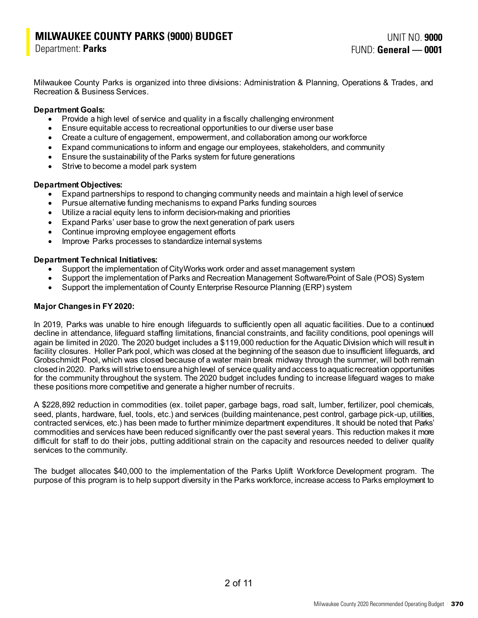# **MILWAUKEE COUNTY PARKS (9000) BUDGET UNIT NO. 9000<br>Persiment: Perks**

Department: **Parks**

Milwaukee County Parks is organized into three divisions: Administration & Planning, Operations & Trades, and Recreation & Business Services.

#### **Department Goals:**

- Provide a high level of service and quality in a fiscally challenging environment
- Ensure equitable access to recreational opportunities to our diverse user base
- Create a culture of engagement, empowerment, and collaboration among our workforce
- Expand communications to inform and engage our employees, stakeholders, and community
- Ensure the sustainability of the Parks system for future generations
- Strive to become a model park system

#### **Department Objectives:**

- Expand partnerships to respond to changing community needs and maintain a high level of service
- Pursue alternative funding mechanisms to expand Parks funding sources
- Utilize a racial equity lens to inform decision-making and priorities
- Expand Parks' user base to grow the next generation of park users
- Continue improving employee engagement efforts
- Improve Parks processes to standardize internal systems

#### **Department Technical Initiatives:**

- Support the implementation of CityWorks work order and asset management system
- Support the implementation of Parks and Recreation Management Software/Point of Sale (POS) System
- Support the implementation of County Enterprise Resource Planning (ERP) system

#### **Major Changes in FY 2020:**

In 2019, Parks was unable to hire enough lifeguards to sufficiently open all aquatic facilities. Due to a continued decline in attendance, lifeguard staffing limitations, financial constraints, and facility conditions, pool openings will again be limited in 2020. The 2020 budget includes a \$119,000 reduction for the Aquatic Division which will result in facility closures. Holler Park pool, which was closed at the beginning of the season due to insufficient lifeguards, and Grobschmidt Pool, which was closed because of a water main break midway through the summer, will both remain closed in 2020. Parks will strive to ensure a high level of service quality and access toaquatic recreation opportunities for the community throughout the system. The 2020 budget includes funding to increase lifeguard wages to make these positions more competitive and generate a higher number of recruits.

A \$228,892 reduction in commodities (ex. toilet paper, garbage bags, road salt, lumber, fertilizer, pool chemicals, seed, plants, hardware, fuel, tools, etc.) and services (building maintenance, pest control, garbage pick-up, utilities, contracted services, etc.) has been made to further minimize department expenditures. It should be noted that Parks' commodities and services have been reduced significantly over the past several years. This reduction makes it more difficult for staff to do their jobs, putting additional strain on the capacity and resources needed to deliver quality services to the community.

The budget allocates \$40,000 to the implementation of the Parks Uplift Workforce Development program. The purpose of this program is to help support diversity in the Parks workforce, increase access to Parks employment to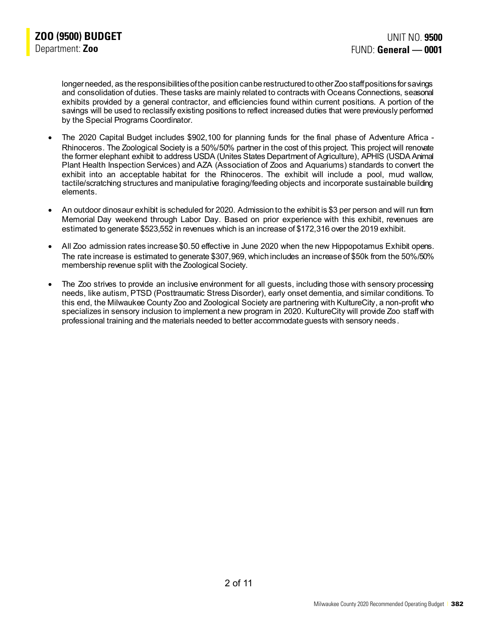longer needed, as the responsibilities of the position can be restructured to other Zoo staff positions for savings and consolidation of duties. These tasks are mainly related to contracts with Oceans Connections, seasonal exhibits provided by a general contractor, and efficiencies found within current positions. A portion of the savings will be used to reclassify existing positions to reflect increased duties that were previously performed by the Special Programs Coordinator.

- The 2020 Capital Budget includes \$902,100 for planning funds for the final phase of Adventure Africa Rhinoceros. The Zoological Society is a 50%/50% partner in the cost of this project. This project will renovate the former elephant exhibit to address USDA (Unites States Department of Agriculture), APHIS (USDA Animal Plant Health Inspection Services) and AZA (Association of Zoos and Aquariums) standards to convert the exhibit into an acceptable habitat for the Rhinoceros. The exhibit will include a pool, mud wallow, tactile/scratching structures and manipulative foraging/feeding objects and incorporate sustainable building elements.
- An outdoor dinosaur exhibit is scheduled for 2020. Admission to the exhibit is \$3 per person and will run from Memorial Day weekend through Labor Day. Based on prior experience with this exhibit, revenues are estimated to generate \$523,552 in revenues which is an increase of \$172,316 over the 2019 exhibit.
- All Zoo admission rates increase \$0.50 effective in June 2020 when the new Hippopotamus Exhibit opens. The rate increase is estimated to generate \$307,969, which includes an increase of \$50k from the 50%/50% membership revenue split with the Zoological Society.
- The Zoo strives to provide an inclusive environment for all guests, including those with sensory processing needs, like autism, PTSD (Posttraumatic Stress Disorder), early onset dementia, and similar conditions. To this end, the Milwaukee County Zoo and Zoological Society are partnering with KultureCity, a non-profit who specializes in sensory inclusion to implement a new program in 2020. KultureCity will provide Zoo staff with professional training and the materials needed to better accommodate guests with sensory needs.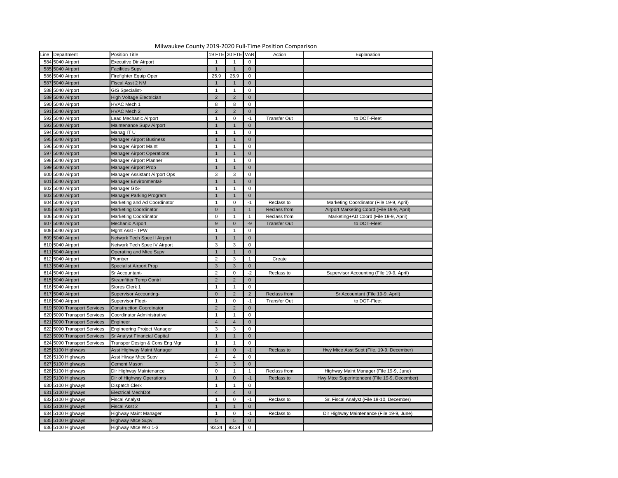| Milwaukee County 2019-2020 Full-Time Position Comparison |                             |                                     |                     |                     |                     |                     |                                               |
|----------------------------------------------------------|-----------------------------|-------------------------------------|---------------------|---------------------|---------------------|---------------------|-----------------------------------------------|
|                                                          | Line Department             | Position Title                      |                     | 19 FTE 20 FTE VAR   |                     | Action              | Explanation                                   |
|                                                          | 584 5040 Airport            | <b>Executive Dir Airport</b>        |                     |                     | $\mathbf 0$         |                     |                                               |
|                                                          | 585 5040 Airport            | <b>Facilities Supv</b>              |                     |                     | $\overline{0}$      |                     |                                               |
|                                                          | 586 5040 Airport            | Firefighter Equip Oper              | 25.9                | 25.9                | $\mathbf 0$         |                     |                                               |
|                                                          | 587 5040 Airport            | Fiscal Asst 2 NM                    |                     |                     | $\overline{0}$      |                     |                                               |
|                                                          | 588 5040 Airport            | <b>GIS Specialist-</b>              |                     |                     | 0                   |                     |                                               |
|                                                          | 589 5040 Airport            | High Voltage Electrician            | $2^{\circ}$         |                     | $\overline{0}$      |                     |                                               |
|                                                          | 590 5040 Airport            | HVAC Mech 1                         | 8                   |                     | 0                   |                     |                                               |
|                                                          | 591 5040 Airport            | <b>HVAC Mech 2</b>                  | 2                   |                     | $\overline{0}$      |                     |                                               |
|                                                          | 592 5040 Airport            | Lead Mechanic Airport               |                     |                     |                     | <b>Transfer Out</b> | to DOT-Fleet                                  |
|                                                          | 593 5040 Airport            | Maintenance Supv Airport            |                     |                     | $\overline{0}$      |                     |                                               |
|                                                          | 594 5040 Airport            | Manag IT U                          |                     |                     | 0                   |                     |                                               |
|                                                          | 595 5040 Airport            | <b>Manager Airport Business</b>     |                     |                     | $\overline{0}$      |                     |                                               |
|                                                          | 596 5040 Airport            | Manager Airport Maint               |                     |                     | 0                   |                     |                                               |
|                                                          | 597 5040 Airport            | <b>Manager Airport Operations</b>   |                     |                     | $\overline{0}$      |                     |                                               |
|                                                          | 598 5040 Airport            | Manager Airport Planner             |                     |                     | 0                   |                     |                                               |
|                                                          | 599 5040 Airport            | Manager Airport Prop                |                     |                     | $\overline{0}$      |                     |                                               |
|                                                          | 600 5040 Airport            | Manager Assistant Airport Ops       | $\mathbf{3}$        | 3                   | 0                   |                     |                                               |
|                                                          | 601 5040 Airport            | Manager Environmental-              |                     |                     | $\overline{0}$      |                     |                                               |
|                                                          | 602 5040 Airport            | Manager GIS-                        |                     |                     | 0                   |                     |                                               |
|                                                          | 603 5040 Airport            | Manager Parking Program             |                     |                     | $\overline{0}$      |                     |                                               |
|                                                          | 604 5040 Airport            | Marketing and Ad Coordinator        |                     |                     | -1                  | Reclass to          | Marketing Coordinator (File 19-9, April)      |
|                                                          | 605 5040 Airport            | <b>Marketing Coordinator</b>        | $\overline{0}$      |                     |                     | Reclass from        | Airport Marketing Coord (File 19-9, April)    |
|                                                          | 606 5040 Airport            | Marketing Coordinator               | $\mathbf 0$         |                     |                     | Reclass from        | Marketing+AD Coord (File 19-9, April)         |
|                                                          | 607 5040 Airport            | Mechanic Airport                    | 9                   |                     | -9                  | <b>Transfer Out</b> | to DOT-Fleet                                  |
|                                                          | 608 5040 Airport            | Mgmt Asst - TPW                     |                     |                     |                     |                     |                                               |
|                                                          | 609 5040 Airport            | Network Tech Spec II Airport        |                     |                     | 0                   |                     |                                               |
|                                                          | 610 5040 Airport            | Network Tech Spec IV Airport        |                     |                     | $\overline{0}$      |                     |                                               |
|                                                          | 611 5040 Airport            |                                     | 3<br>$\overline{1}$ | 3<br>$\overline{1}$ | 0<br>$\overline{0}$ |                     |                                               |
|                                                          |                             | Operating and Mtce Supv             |                     |                     |                     |                     |                                               |
|                                                          | 612 5040 Airport            | Plumber                             | $\overline{2}$      | 3                   |                     | Create              |                                               |
|                                                          | 613 5040 Airport            | <b>Specialist Airport Prop</b>      | $3\phantom{.0}$     | 3                   | $\overline{0}$      |                     |                                               |
|                                                          | 614 5040 Airport            | Sr Accountant-                      | $\overline{2}$      |                     | $-2$                | Reclass to          | Supervisor Accounting (File 19-9, April)      |
|                                                          | 615 5040 Airport            | <b>Steamfitter Temp Contrl</b>      | 2                   |                     | $\overline{0}$      |                     |                                               |
|                                                          | 616 5040 Airport            | Stores Clerk 1                      |                     |                     | 0                   |                     |                                               |
|                                                          | 617 5040 Airport            | <b>Supervisor Accounting-</b>       | $\overline{0}$      |                     | $\overline{2}$      | Reclass from        | Sr Accountant (File 19-9, April)              |
|                                                          | 618 5040 Airport            | <b>Supervisor Fleet-</b>            |                     |                     |                     | <b>Transfer Out</b> | to DOT-Fleet                                  |
|                                                          | 619 5090 Transport Services | <b>Construction Coordinator</b>     | 2                   |                     | $\overline{0}$      |                     |                                               |
|                                                          | 620 5090 Transport Services | Coordinator Administrative          |                     |                     | 0                   |                     |                                               |
|                                                          | 621 5090 Transport Services | Engineer                            | $\overline{4}$      |                     | $\overline{0}$      |                     |                                               |
|                                                          | 622 5090 Transport Services | <b>Engineering Project Manager</b>  | $\mathbf{3}$        | 3                   | 0                   |                     |                                               |
|                                                          | 623 5090 Transport Services | <b>Sr Analyst Financial Capital</b> |                     |                     | $\overline{0}$      |                     |                                               |
|                                                          | 624 5090 Transport Services | Transpor Design & Cons Eng Mgr      |                     |                     | 0                   |                     |                                               |
|                                                          | 625 5100 Highways           | Asst Highway Maint Manager          |                     |                     | -1                  | Reclass to          | Hwy Mtce Asst Supt (File, 19-9, December)     |
|                                                          | 626 5100 Highways           | Asst Hiway Mtce Supv                | 4                   |                     | 0                   |                     |                                               |
|                                                          | 627 5100 Highways           | Cement Mason                        | $\mathbf{3}$        |                     | $\overline{0}$      |                     |                                               |
|                                                          | 628 5100 Highways           | Dir Highway Maintenance             | $\mathbf 0$         |                     |                     | Reclass from        | Highway Maint Manager (File 19-9, June)       |
|                                                          | 629 5100 Highways           | Dir of Highway Operations           |                     |                     | $-1$                | Reclass to          | Hwy Mtce Superintendent (File 19-9, December) |
|                                                          | 630 5100 Highways           | Dispatch Clerk                      |                     |                     | 0                   |                     |                                               |
|                                                          | 631 5100 Highways           | <b>Electrical MechDot</b>           | $\overline{4}$      |                     | $\overline{0}$      |                     |                                               |
|                                                          | 632 5100 Highways           | Fiscal Analyst                      |                     |                     |                     | Reclass to          | Sr. Fiscal Analyst (File 18-10, December)     |
|                                                          | 633 5100 Highways           | Fiscal Asst 2                       |                     |                     | $\overline{0}$      |                     |                                               |
|                                                          | 634 5100 Highways           | Highway Maint Manager               |                     |                     |                     | Reclass to          | Dir Highway Maintenance (File 19-9, June)     |
|                                                          | 635 5100 Highways           | <b>Highway Mtce Supv</b>            | $5\overline{)}$     |                     | $\overline{0}$      |                     |                                               |
|                                                          | 636 5100 Highways           | Highway Mtce Wkr 1-3                |                     | 93.24 93.24         | $\overline{0}$      |                     |                                               |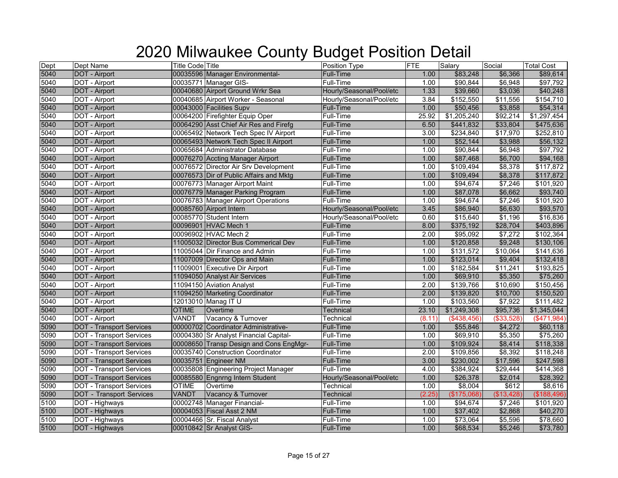# 2020 Milwaukee County Budget Position Detail

| Dept | Dept Name                       | <b>Title Code Title</b> |                                         | Position Type            | <b>FTE</b> | Salary      | Social     | <b>Total Cost</b> |
|------|---------------------------------|-------------------------|-----------------------------------------|--------------------------|------------|-------------|------------|-------------------|
| 5040 | <b>DOT</b> - Airport            |                         | 00035596 Manager Environmental-         | <b>Full-Time</b>         | 1.00       | \$83,248    | \$6,366    | \$89,614          |
| 5040 | DOT - Airport                   |                         | 00035771 Manager GIS-                   | <b>Full-Time</b>         | 1.00       | \$90,844    | \$6,948    | \$97,792          |
| 5040 | <b>DOT</b> - Airport            |                         | 00040680 Airport Ground Wrkr Sea        | Hourly/Seasonal/Pool/etc | 1.33       | \$39,660    | \$3,036    | \$40,248          |
| 5040 | DOT - Airport                   |                         | 00040685 Airport Worker - Seasonal      | Hourly/Seasonal/Pool/etc | 3.84       | \$152,550   | \$11,556   | \$154,710         |
| 5040 | <b>DOT - Airport</b>            |                         | 00043000 Facilities Supv                | <b>Full-Time</b>         | 1.00       | \$50,456    | \$3,858    | \$54,314          |
| 5040 | DOT - Airport                   |                         | 00064200 Firefighter Equip Oper         | <b>Full-Time</b>         | 25.92      | \$1,205,240 | \$92,214   | \$1,297,454       |
| 5040 | <b>DOT</b> - Airport            |                         | 00064290 Asst Chief Air Res and Firefg  | Full-Time                | 6.50       | \$441,832   | \$33,804   | \$475,636         |
| 5040 | DOT - Airport                   |                         | 00065492 Network Tech Spec IV Airport   | Full-Time                | 3.00       | \$234,840   | \$17,970   | \$252,810         |
| 5040 | DOT - Airport                   |                         | 00065493 Network Tech Spec II Airport   | <b>Full-Time</b>         | 1.00       | \$52,144    | \$3,988    | \$56,132          |
| 5040 | DOT - Airport                   |                         | 00065684 Administrator Database         | Full-Time                | 1.00       | \$90,844    | \$6,948    | \$97,792          |
| 5040 | <b>DOT - Airport</b>            |                         | 00076270 Accting Manager Airport        | Full-Time                | 1.00       | \$87,468    | \$6,700    | \$94,168          |
| 5040 | DOT - Airport                   |                         | 00076572 Director Air Srv Development   | Full-Time                | 1.00       | \$109,494   | \$8,378    | \$117,872         |
| 5040 | <b>DOT - Airport</b>            |                         | 00076573 Dir of Public Affairs and Mktg | Full-Time                | 1.00       | \$109,494   | \$8,378    | \$117,872         |
| 5040 | DOT - Airport                   |                         | 00076773 Manager Airport Maint          | Full-Time                | 1.00       | \$94,674    | \$7,246    | \$101,920         |
| 5040 | DOT - Airport                   |                         | 00076779 Manager Parking Program        | <b>Full-Time</b>         | 1.00       | \$87,078    | \$6,662    | \$93,740          |
| 5040 | DOT - Airport                   |                         | 00076783 Manager Airport Operations     | Full-Time                | 1.00       | \$94,674    | \$7,246    | \$101,920         |
| 5040 | <b>DOT - Airport</b>            |                         | 00085760 Airport Intern                 | Hourly/Seasonal/Pool/etc | 3.45       | \$86,940    | \$6,630    | \$93,570          |
| 5040 | DOT - Airport                   |                         | 00085770 Student Intern                 | Hourly/Seasonal/Pool/etc | 0.60       | \$15,640    | \$1,196    | \$16,836          |
| 5040 | <b>DOT - Airport</b>            |                         | 00096901 HVAC Mech 1                    | <b>Full-Time</b>         | 8.00       | \$375,192   | \$28,704   | \$403,896         |
| 5040 | DOT - Airport                   |                         | 00096902 HVAC Mech 2                    | Full-Time                | 2.00       | \$95,092    | \$7,272    | \$102,364         |
| 5040 | <b>DOT</b> - Airport            |                         | 11005032 Director Bus Commerical Dev    | <b>Full-Time</b>         | 1.00       | \$120,858   | \$9,248    | \$130,106         |
| 5040 | DOT - Airport                   |                         | 11005044 Dir Finance and Admin          | <b>Full-Time</b>         | 1.00       | \$131,572   | \$10,064   | \$141,636         |
| 5040 | <b>DOT</b> - Airport            |                         | 11007009 Director Ops and Main          | Full-Time                | 1.00       | \$123,014   | \$9,404    | \$132,418         |
| 5040 | DOT - Airport                   |                         | 11009001 Executive Dir Airport          | Full-Time                | 1.00       | \$182,584   | \$11,241   | \$193,825         |
| 5040 | DOT - Airport                   |                         | 11094050 Analyst Air Services           | Full-Time                | 1.00       | \$69,910    | \$5,350    | \$75,260          |
| 5040 | DOT - Airport                   |                         | 11094150 Aviation Analyst               | Full-Time                | 2.00       | \$139,766   | \$10,690   | \$150,456         |
| 5040 | <b>DOT</b> - Airport            |                         | 11094250 Marketing Coordinator          | Full-Time                | 2.00       | \$139,820   | \$10,700   | \$150,520         |
| 5040 | DOT - Airport                   |                         | 12013010 Manag IT U                     | Full-Time                | 1.00       | \$103,560   | \$7,922    | \$111,482         |
| 5040 | <b>DOT</b> - Airport            | <b>OTIME</b>            | Overtime                                | Technical                | 23.10      | \$1,249,308 | \$95,736   | \$1,345,044       |
| 5040 | DOT - Airport                   | VANDT                   | Vacancy & Turnover                      | Technical                | (8.11)     | (\$438,456) | (\$33,528) | (\$471,984)       |
| 5090 | <b>DOT - Transport Services</b> |                         | 00000702 Coordinator Administrative-    | <b>Full-Time</b>         | 1.00       | \$55,846    | \$4,272    | \$60,118          |
| 5090 | <b>DOT - Transport Services</b> |                         | 00004380 Sr Analyst Financial Capital-  | Full-Time                | 1.00       | \$69,910    | \$5,350    | \$75,260          |
| 5090 | <b>DOT - Transport Services</b> |                         | 00008650 Transp Design and Cons EngMgr- | <b>Full-Time</b>         | 1.00       | \$109,924   | \$8,414    | \$118,338         |
| 5090 | <b>DOT</b> - Transport Services |                         | 00035740 Construction Coordinator       | Full-Time                | 2.00       | \$109,856   | \$8,392    | \$118,248         |
| 5090 | <b>DOT - Transport Services</b> |                         | 00035751 Engineer NM                    | <b>Full-Time</b>         | 3.00       | \$230,002   | \$17,596   | \$247,598         |
| 5090 | <b>DOT - Transport Services</b> |                         | 00035808 Engineering Project Manager    | Full-Time                | 4.00       | \$384,924   | \$29,444   | \$414,368         |
| 5090 | <b>DOT - Transport Services</b> |                         | 00085580 Engnrng Intern Student         | Hourly/Seasonal/Pool/etc | 1.00       | \$26,378    | \$2,014    | \$28,392          |
| 5090 | <b>DOT - Transport Services</b> | <b>OTIME</b>            | Overtime                                | Technical                | 1.00       | \$8,004     | \$612      | \$8,616           |
| 5090 | <b>DOT</b> - Transport Services | <b>VANDT</b>            | Vacancy & Turnover                      | Technical                | (2.25)     | (\$175,068) | (\$13,428) | (\$188,496)       |
| 5100 | DOT - Highways                  |                         | 00002748 Manager Financial-             | Full-Time                | 1.00       | \$94,674    | \$7,246    | \$101,920         |
| 5100 | DOT - Highways                  |                         | 00004053 Fiscal Asst 2 NM               | Full-Time                | 1.00       | \$37,402    | \$2,868    | \$40,270          |
| 5100 | DOT - Highways                  |                         | 00004466 Sr. Fiscal Analyst             | Full-Time                | 1.00       | \$73,064    | \$5,596    | \$78,660          |
| 5100 | DOT - Highways                  |                         | 00010842 Sr Analyst GIS-                | <b>Full-Time</b>         | 1.00       | \$68,534    | \$5,246    | \$73,780          |